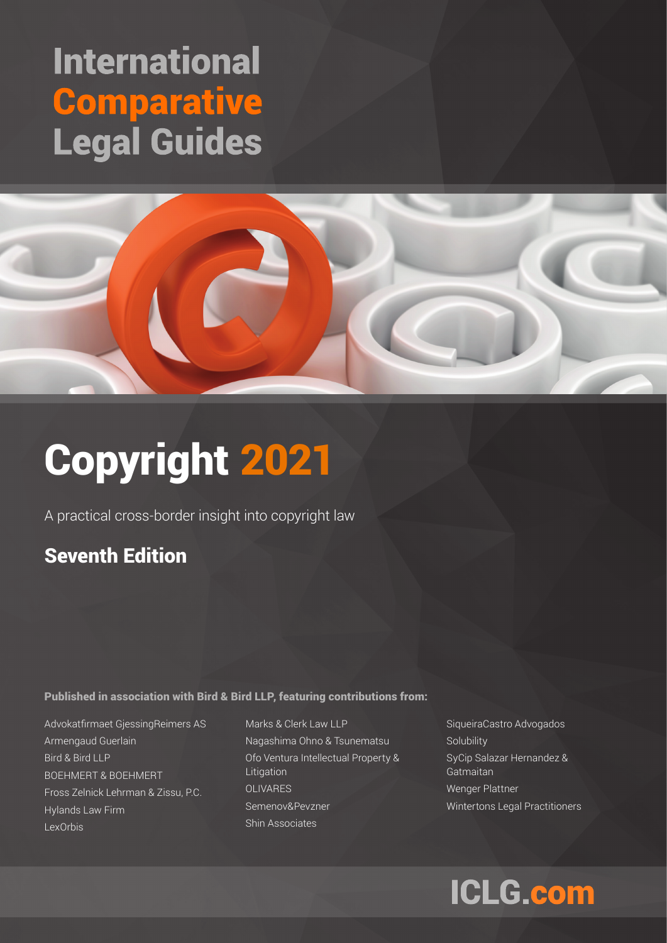# **International Comparative Legal Guides**



# Copyright 2021

A practical cross-border insight into copyright law

## Seventh Edition

Published in association with Bird & Bird LLP, featuring contributions from:

Advokatfirmaet GjessingReimers AS Armengaud Guerlain Bird & Bird LLP BOEHMERT & BOEHMERT Fross Zelnick Lehrman & Zissu, P.C. Hylands Law Firm LexOrbis

Marks & Clerk Law LLP Nagashima Ohno & Tsunematsu Ofo Ventura Intellectual Property & Litigation **OLIVARES** Semenov&Pevzner Shin Associates

SiqueiraCastro Advogados **Solubility** SyCip Salazar Hernandez & Gatmaitan Wenger Plattner Wintertons Legal Practitioners

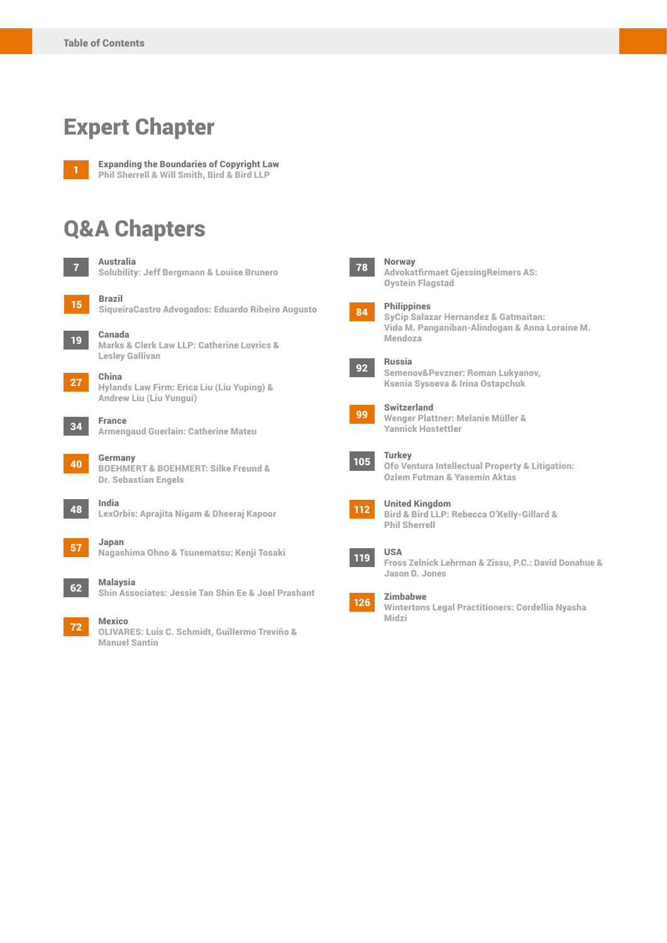## Expert Chapter



**Expanding the Boundaries of Copyright Law** Phil Sherrell & Will Smith, Bird & Bird LLP

## Q&A Chapters

| $\vert$ 7 | <b>Australia</b><br><b>Solubility: Jeff Bergmann &amp; Louise Brunero</b> |
|-----------|---------------------------------------------------------------------------|
| <b>15</b> | <b>Brazil</b><br>Sigueira Castro Advogados: Eduardo Ribeiro Augusto       |

<sup>19</sup> Canada Marks & Clerk Law LLP: Catherine Lovrics & Lesley Gallivan

<sup>27</sup> China Hylands Law Firm: Erica Liu (Liu Yuping) & Andrew Liu (Liu Yungui)



Armengaud Guerlain: Catherine Mateu

40 Germany BOEHMERT & BOEHMERT: Silke Freund & Dr. Sebastian Engels

LexOrbis: Aprajita Nigam & Dheeraj Kapoor



<sup>57</sup> Japan

Nagashima Ohno & Tsunematsu: Kenji Tosaki

```
62 Malaysia
```
#### Shin Associates: Jessie Tan Shin Ee & Joel Prashant

72 Mexico OLIVARES: Luis C. Schmidt, Guillermo Treviño & Manuel Santin

#### **Norway**

Advokatfirmaet GjessingReimers AS: Øystein Flagstad

#### 84 Philippines

SyCip Salazar Hernandez & Gatmaitan: Vida M. Panganiban-Alindogan & Anna Loraine M. Mendoza



#### 92 Russia

Semenov&Pevzner: Roman Lukyanov, Ksenia Sysoeva & Irina Ostapchuk



<sup>99</sup> Switzerland Wenger Plattner: Melanie Müller & Yannick Hostettler

### $105$  Turkey

Ofo Ventura Intellectual Property & Litigation: Ozlem Futman & Yasemin Aktas



### 112 United Kingdom

Bird & Bird LLP: Rebecca O'Kelly-Gillard & Phil Sherrell

### **119** USA

Fross Zelnick Lehrman & Zissu, P.C.: David Donahue & Jason D. Jones

<sup>126</sup> Zimbabwe Wintertons Legal Practitioners: Cordellia Nyasha Midzi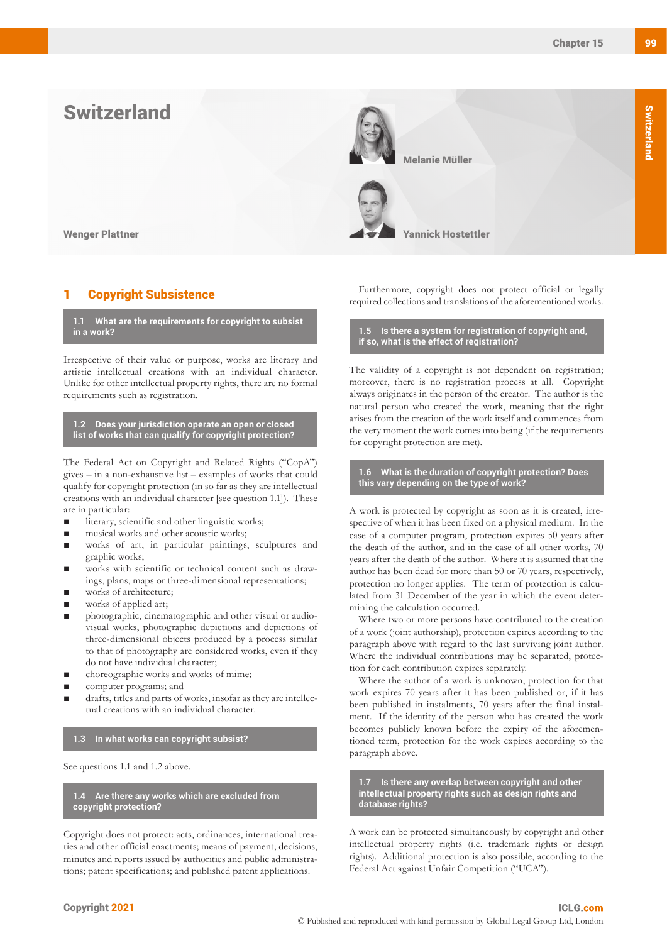



#### **Copyright Subsistence**

**1.1 What are the requirements for copyright to subsist in a work?**

Irrespective of their value or purpose, works are literary and artistic intellectual creations with an individual character. Unlike for other intellectual property rights, there are no formal requirements such as registration.

**1.2 Does your jurisdiction operate an open or closed list of works that can qualify for copyright protection?**

The Federal Act on Copyright and Related Rights ("CopA") gives – in a non-exhaustive list – examples of works that could qualify for copyright protection (in so far as they are intellectual creations with an individual character [see question 1.1]). These are in particular:

- literary, scientific and other linguistic works;
- musical works and other acoustic works;
- works of art, in particular paintings, sculptures and graphic works;
- works with scientific or technical content such as drawings, plans, maps or three-dimensional representations;
- works of architecture;
- works of applied art;
- photographic, cinematographic and other visual or audiovisual works, photographic depictions and depictions of three-dimensional objects produced by a process similar to that of photography are considered works, even if they do not have individual character;
- choreographic works and works of mime;
- computer programs; and
- drafts, titles and parts of works, insofar as they are intellectual creations with an individual character.

#### **1.3 In what works can copyright subsist?**

See questions 1.1 and 1.2 above.

**1.4 Are there any works which are excluded from copyright protection?**

Copyright does not protect: acts, ordinances, international treaties and other official enactments; means of payment; decisions, minutes and reports issued by authorities and public administrations; patent specifications; and published patent applications.

Furthermore, copyright does not protect official or legally required collections and translations of the aforementioned works.

**1.5 Is there a system for registration of copyright and, if so, what is the effect of registration?**

The validity of a copyright is not dependent on registration; moreover, there is no registration process at all. Copyright always originates in the person of the creator. The author is the natural person who created the work, meaning that the right arises from the creation of the work itself and commences from the very moment the work comes into being (if the requirements for copyright protection are met).

#### **1.6 What is the duration of copyright protection? Does this vary depending on the type of work?**

A work is protected by copyright as soon as it is created, irrespective of when it has been fixed on a physical medium. In the case of a computer program, protection expires 50 years after the death of the author, and in the case of all other works, 70 years after the death of the author. Where it is assumed that the author has been dead for more than 50 or 70 years, respectively, protection no longer applies. The term of protection is calculated from 31 December of the year in which the event determining the calculation occurred.

Where two or more persons have contributed to the creation of a work (joint authorship), protection expires according to the paragraph above with regard to the last surviving joint author. Where the individual contributions may be separated, protection for each contribution expires separately.

Where the author of a work is unknown, protection for that work expires 70 years after it has been published or, if it has been published in instalments, 70 years after the final instalment. If the identity of the person who has created the work becomes publicly known before the expiry of the aforementioned term, protection for the work expires according to the paragraph above.

**1.7 Is there any overlap between copyright and other intellectual property rights such as design rights and database rights?**

A work can be protected simultaneously by copyright and other intellectual property rights (i.e. trademark rights or design rights). Additional protection is also possible, according to the Federal Act against Unfair Competition ("UCA").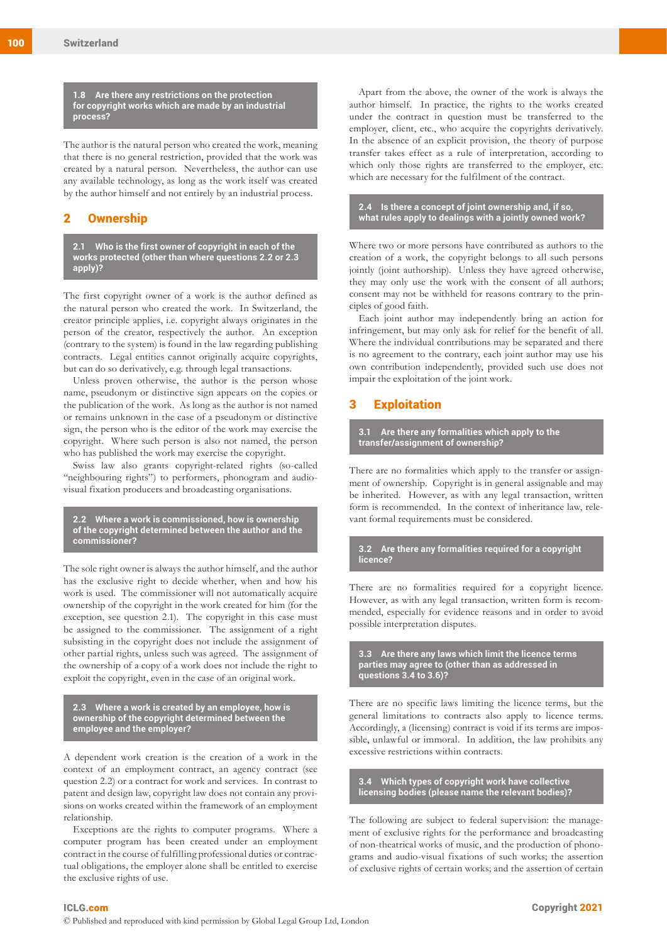**1.8 Are there any restrictions on the protection for copyright works which are made by an industrial process?**

The author is the natural person who created the work, meaning that there is no general restriction, provided that the work was created by a natural person. Nevertheless, the author can use any available technology, as long as the work itself was created by the author himself and not entirely by an industrial process.

#### 2 Ownership

**2.1 Who is the first owner of copyright in each of the works protected (other than where questions 2.2 or 2.3 apply)?**

The first copyright owner of a work is the author defined as the natural person who created the work. In Switzerland, the creator principle applies, i.e. copyright always originates in the person of the creator, respectively the author. An exception (contrary to the system) is found in the law regarding publishing contracts. Legal entities cannot originally acquire copyrights, but can do so derivatively, e.g. through legal transactions.

Unless proven otherwise, the author is the person whose name, pseudonym or distinctive sign appears on the copies or the publication of the work. As long as the author is not named or remains unknown in the case of a pseudonym or distinctive sign, the person who is the editor of the work may exercise the copyright. Where such person is also not named, the person who has published the work may exercise the copyright.

Swiss law also grants copyright-related rights (so-called "neighbouring rights") to performers, phonogram and audiovisual fixation producers and broadcasting organisations.

**2.2 Where a work is commissioned, how is ownership of the copyright determined between the author and the commissioner?**

The sole right owner is always the author himself, and the author has the exclusive right to decide whether, when and how his work is used. The commissioner will not automatically acquire ownership of the copyright in the work created for him (for the exception, see question 2.1). The copyright in this case must be assigned to the commissioner. The assignment of a right subsisting in the copyright does not include the assignment of other partial rights, unless such was agreed. The assignment of the ownership of a copy of a work does not include the right to exploit the copyright, even in the case of an original work.

**2.3 Where a work is created by an employee, how is ownership of the copyright determined between the employee and the employer?**

A dependent work creation is the creation of a work in the context of an employment contract, an agency contract (see question 2.2) or a contract for work and services. In contrast to patent and design law, copyright law does not contain any provisions on works created within the framework of an employment relationship.

Exceptions are the rights to computer programs. Where a computer program has been created under an employment contract in the course of fulfilling professional duties or contractual obligations, the employer alone shall be entitled to exercise the exclusive rights of use.

Apart from the above, the owner of the work is always the author himself. In practice, the rights to the works created under the contract in question must be transferred to the employer, client, etc., who acquire the copyrights derivatively. In the absence of an explicit provision, the theory of purpose transfer takes effect as a rule of interpretation, according to which only those rights are transferred to the employer, etc. which are necessary for the fulfilment of the contract.

**2.4 Is there a concept of joint ownership and, if so, what rules apply to dealings with a jointly owned work?**

Where two or more persons have contributed as authors to the creation of a work, the copyright belongs to all such persons jointly (joint authorship). Unless they have agreed otherwise, they may only use the work with the consent of all authors; consent may not be withheld for reasons contrary to the principles of good faith.

Each joint author may independently bring an action for infringement, but may only ask for relief for the benefit of all. Where the individual contributions may be separated and there is no agreement to the contrary, each joint author may use his own contribution independently, provided such use does not impair the exploitation of the joint work.

#### 3 Exploitation

**3.1 Are there any formalities which apply to the transfer/assignment of ownership?**

There are no formalities which apply to the transfer or assignment of ownership. Copyright is in general assignable and may be inherited. However, as with any legal transaction, written form is recommended. In the context of inheritance law, relevant formal requirements must be considered.

**3.2 Are there any formalities required for a copyright licence?**

There are no formalities required for a copyright licence. However, as with any legal transaction, written form is recommended, especially for evidence reasons and in order to avoid possible interpretation disputes.

**3.3 Are there any laws which limit the licence terms parties may agree to (other than as addressed in questions 3.4 to 3.6)?**

There are no specific laws limiting the licence terms, but the general limitations to contracts also apply to licence terms. Accordingly, a (licensing) contract is void if its terms are impossible, unlawful or immoral. In addition, the law prohibits any excessive restrictions within contracts.

**3.4 Which types of copyright work have collective licensing bodies (please name the relevant bodies)?**

The following are subject to federal supervision: the management of exclusive rights for the performance and broadcasting of non-theatrical works of music, and the production of phonograms and audio-visual fixations of such works; the assertion of exclusive rights of certain works; and the assertion of certain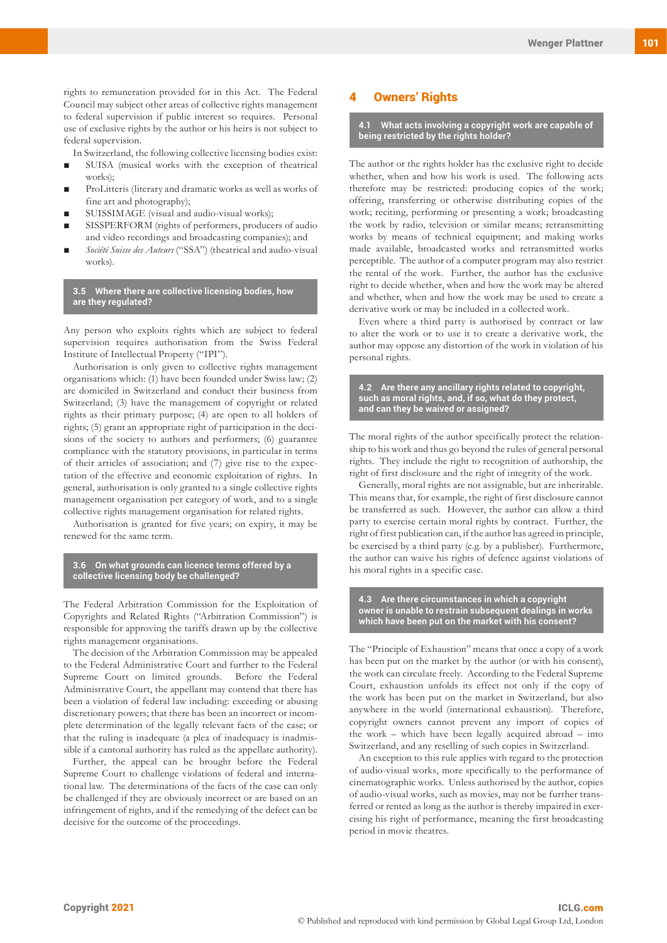rights to remuneration provided for in this Act. The Federal Council may subject other areas of collective rights management to federal supervision if public interest so requires. Personal use of exclusive rights by the author or his heirs is not subject to federal supervision.

- In Switzerland, the following collective licensing bodies exist:
- SUISA (musical works with the exception of theatrical works);
- ProLitteris (literary and dramatic works as well as works of fine art and photography);
- SUISSIMAGE (visual and audio-visual works);
- SISSPERFORM (rights of performers, producers of audio and video recordings and broadcasting companies); and
- Société Suisse des Auteurs ("SSA") (theatrical and audio-visual works).

**3.5 Where there are collective licensing bodies, how are they regulated?**

Any person who exploits rights which are subject to federal supervision requires authorisation from the Swiss Federal Institute of Intellectual Property ("IPI").

Authorisation is only given to collective rights management organisations which: (1) have been founded under Swiss law; (2) are domiciled in Switzerland and conduct their business from Switzerland; (3) have the management of copyright or related rights as their primary purpose; (4) are open to all holders of rights; (5) grant an appropriate right of participation in the decisions of the society to authors and performers; (6) guarantee compliance with the statutory provisions, in particular in terms of their articles of association; and (7) give rise to the expectation of the effective and economic exploitation of rights. In general, authorisation is only granted to a single collective rights management organisation per category of work, and to a single collective rights management organisation for related rights.

Authorisation is granted for five years; on expiry, it may be renewed for the same term.

**3.6 On what grounds can licence terms offered by a collective licensing body be challenged?**

The Federal Arbitration Commission for the Exploitation of Copyrights and Related Rights ("Arbitration Commission") is responsible for approving the tariffs drawn up by the collective rights management organisations.

The decision of the Arbitration Commission may be appealed to the Federal Administrative Court and further to the Federal Supreme Court on limited grounds. Before the Federal Administrative Court, the appellant may contend that there has been a violation of federal law including: exceeding or abusing discretionary powers; that there has been an incorrect or incomplete determination of the legally relevant facts of the case; or that the ruling is inadequate (a plea of inadequacy is inadmissible if a cantonal authority has ruled as the appellate authority).

Further, the appeal can be brought before the Federal Supreme Court to challenge violations of federal and international law. The determinations of the facts of the case can only be challenged if they are obviously incorrect or are based on an infringement of rights, and if the remedying of the defect can be decisive for the outcome of the proceedings.

#### **Owners' Rights**

**4.1 What acts involving a copyright work are capable of being restricted by the rights holder?**

The author or the rights holder has the exclusive right to decide whether, when and how his work is used. The following acts therefore may be restricted: producing copies of the work; offering, transferring or otherwise distributing copies of the work; reciting, performing or presenting a work; broadcasting the work by radio, television or similar means; retransmitting works by means of technical equipment; and making works made available, broadcasted works and retransmitted works perceptible. The author of a computer program may also restrict the rental of the work. Further, the author has the exclusive right to decide whether, when and how the work may be altered and whether, when and how the work may be used to create a derivative work or may be included in a collected work.

Even where a third party is authorised by contract or law to alter the work or to use it to create a derivative work, the author may oppose any distortion of the work in violation of his personal rights.

**4.2 Are there any ancillary rights related to copyright, such as moral rights, and, if so, what do they protect, and can they be waived or assigned?**

The moral rights of the author specifically protect the relationship to his work and thus go beyond the rules of general personal rights. They include the right to recognition of authorship, the right of first disclosure and the right of integrity of the work.

Generally, moral rights are not assignable, but are inheritable. This means that, for example, the right of first disclosure cannot be transferred as such. However, the author can allow a third party to exercise certain moral rights by contract. Further, the right of first publication can, if the author has agreed in principle, be exercised by a third party (e.g. by a publisher). Furthermore, the author can waive his rights of defence against violations of his moral rights in a specific case.

**4.3 Are there circumstances in which a copyright owner is unable to restrain subsequent dealings in works which have been put on the market with his consent?** 

The "Principle of Exhaustion" means that once a copy of a work has been put on the market by the author (or with his consent), the work can circulate freely. According to the Federal Supreme Court, exhaustion unfolds its effect not only if the copy of the work has been put on the market in Switzerland, but also anywhere in the world (international exhaustion). Therefore, copyright owners cannot prevent any import of copies of the work – which have been legally acquired abroad – into Switzerland, and any reselling of such copies in Switzerland.

An exception to this rule applies with regard to the protection of audio-visual works, more specifically to the performance of cinematographic works. Unless authorised by the author, copies of audio-visual works, such as movies, may not be further transferred or rented as long as the author is thereby impaired in exercising his right of performance, meaning the first broadcasting period in movie theatres.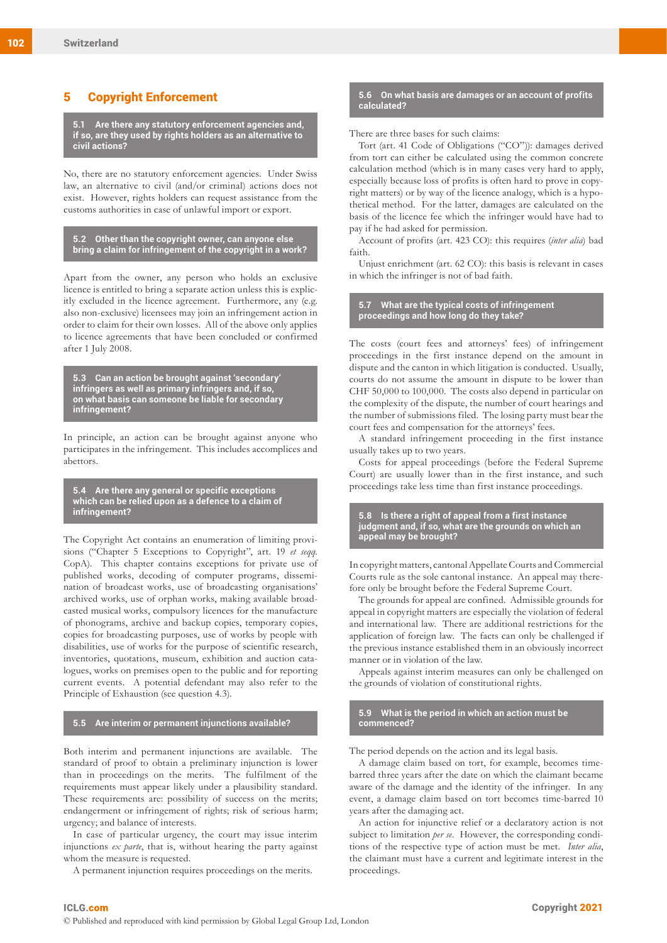#### 5 Copyright Enforcement

**5.1 Are there any statutory enforcement agencies and, if so, are they used by rights holders as an alternative to civil actions?**

No, there are no statutory enforcement agencies. Under Swiss law, an alternative to civil (and/or criminal) actions does not exist. However, rights holders can request assistance from the customs authorities in case of unlawful import or export.

**5.2 Other than the copyright owner, can anyone else bring a claim for infringement of the copyright in a work?**

Apart from the owner, any person who holds an exclusive licence is entitled to bring a separate action unless this is explicitly excluded in the licence agreement. Furthermore, any (e.g. also non-exclusive) licensees may join an infringement action in order to claim for their own losses. All of the above only applies to licence agreements that have been concluded or confirmed after 1 July 2008.

**5.3 Can an action be brought against 'secondary' infringers as well as primary infringers and, if so, on what basis can someone be liable for secondary infringement?**

In principle, an action can be brought against anyone who participates in the infringement. This includes accomplices and abettors.

#### **5.4 Are there any general or specific exceptions which can be relied upon as a defence to a claim of infringement?**

The Copyright Act contains an enumeration of limiting provisions ("Chapter 5 Exceptions to Copyright", art. 19 *et seqq.* CopA). This chapter contains exceptions for private use of published works, decoding of computer programs, dissemination of broadcast works, use of broadcasting organisations' archived works, use of orphan works, making available broadcasted musical works, compulsory licences for the manufacture of phonograms, archive and backup copies, temporary copies, copies for broadcasting purposes, use of works by people with disabilities, use of works for the purpose of scientific research, inventories, quotations, museum, exhibition and auction catalogues, works on premises open to the public and for reporting current events. A potential defendant may also refer to the Principle of Exhaustion (see question 4.3).

#### **5.5 Are interim or permanent injunctions available?**

Both interim and permanent injunctions are available. The standard of proof to obtain a preliminary injunction is lower than in proceedings on the merits. The fulfilment of the requirements must appear likely under a plausibility standard. These requirements are: possibility of success on the merits; endangerment or infringement of rights; risk of serious harm; urgency; and balance of interests.

In case of particular urgency, the court may issue interim injunctions *ex parte*, that is, without hearing the party against whom the measure is requested.

A permanent injunction requires proceedings on the merits.

#### **5.6 On what basis are damages or an account of profits calculated?**

#### There are three bases for such claims:

Tort (art. 41 Code of Obligations ("CO")): damages derived from tort can either be calculated using the common concrete calculation method (which is in many cases very hard to apply, especially because loss of profits is often hard to prove in copyright matters) or by way of the licence analogy, which is a hypothetical method. For the latter, damages are calculated on the basis of the licence fee which the infringer would have had to pay if he had asked for permission.

Account of profits (art. 423 CO): this requires (*inter alia*) bad faith.

Unjust enrichment (art. 62 CO): this basis is relevant in cases in which the infringer is not of bad faith.

#### **5.7 What are the typical costs of infringement proceedings and how long do they take?**

The costs (court fees and attorneys' fees) of infringement proceedings in the first instance depend on the amount in dispute and the canton in which litigation is conducted. Usually, courts do not assume the amount in dispute to be lower than CHF 50,000 to 100,000. The costs also depend in particular on the complexity of the dispute, the number of court hearings and the number of submissions filed. The losing party must bear the court fees and compensation for the attorneys' fees.

A standard infringement proceeding in the first instance usually takes up to two years.

Costs for appeal proceedings (before the Federal Supreme Court) are usually lower than in the first instance, and such proceedings take less time than first instance proceedings.

**5.8 Is there a right of appeal from a first instance judgment and, if so, what are the grounds on which an appeal may be brought?**

In copyright matters, cantonal Appellate Courts and Commercial Courts rule as the sole cantonal instance. An appeal may therefore only be brought before the Federal Supreme Court.

The grounds for appeal are confined. Admissible grounds for appeal in copyright matters are especially the violation of federal and international law. There are additional restrictions for the application of foreign law. The facts can only be challenged if the previous instance established them in an obviously incorrect manner or in violation of the law.

Appeals against interim measures can only be challenged on the grounds of violation of constitutional rights.

#### **5.9 What is the period in which an action must be commenced?**

The period depends on the action and its legal basis.

A damage claim based on tort, for example, becomes timebarred three years after the date on which the claimant became aware of the damage and the identity of the infringer. In any event, a damage claim based on tort becomes time-barred 10 years after the damaging act.

An action for injunctive relief or a declaratory action is not subject to limitation *per se*. However, the corresponding conditions of the respective type of action must be met. *Inter alia*, the claimant must have a current and legitimate interest in the proceedings.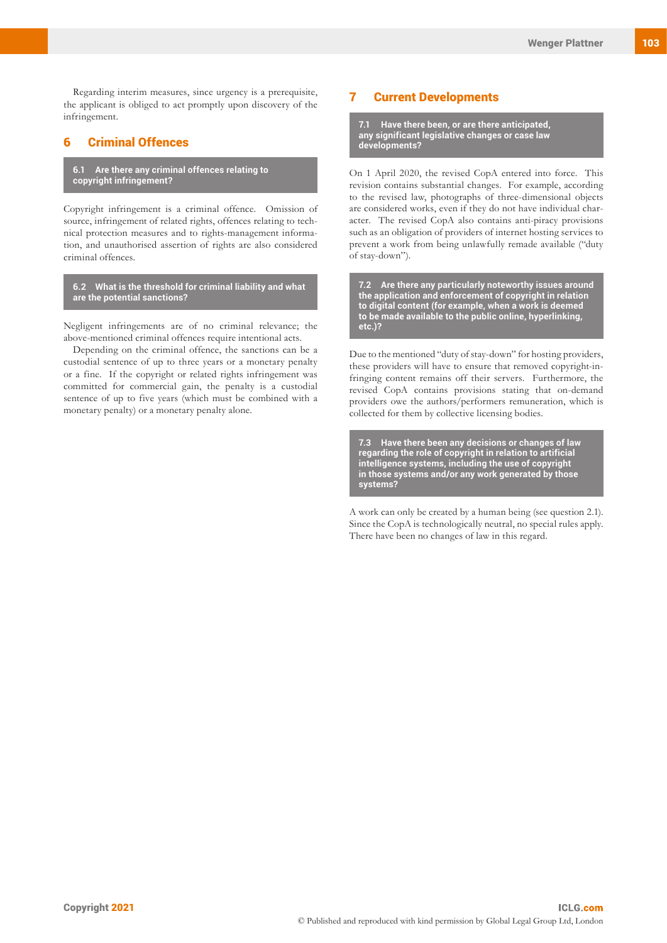Regarding interim measures, since urgency is a prerequisite, the applicant is obliged to act promptly upon discovery of the infringement.

#### 6 Criminal Offences

**6.1 Are there any criminal offences relating to copyright infringement?**

Copyright infringement is a criminal offence. Omission of source, infringement of related rights, offences relating to technical protection measures and to rights-management information, and unauthorised assertion of rights are also considered criminal offences.

**6.2 What is the threshold for criminal liability and what are the potential sanctions?**

Negligent infringements are of no criminal relevance; the above-mentioned criminal offences require intentional acts.

Depending on the criminal offence, the sanctions can be a custodial sentence of up to three years or a monetary penalty or a fine. If the copyright or related rights infringement was committed for commercial gain, the penalty is a custodial sentence of up to five years (which must be combined with a monetary penalty) or a monetary penalty alone.

#### 7 Current Developments

**7.1 Have there been, or are there anticipated, any significant legislative changes or case law developments?**

On 1 April 2020, the revised CopA entered into force. This revision contains substantial changes. For example, according to the revised law, photographs of three-dimensional objects are considered works, even if they do not have individual character. The revised CopA also contains anti-piracy provisions such as an obligation of providers of internet hosting services to prevent a work from being unlawfully remade available ("duty of stay-down").

**7.2 Are there any particularly noteworthy issues around the application and enforcement of copyright in relation to digital content (for example, when a work is deemed to be made available to the public online, hyperlinking, etc.)?**

Due to the mentioned "duty of stay-down" for hosting providers, these providers will have to ensure that removed copyright-infringing content remains off their servers. Furthermore, the revised CopA contains provisions stating that on-demand providers owe the authors/performers remuneration, which is collected for them by collective licensing bodies.

**7.3 Have there been any decisions or changes of law regarding the role of copyright in relation to artificial intelligence systems, including the use of copyright in those systems and/or any work generated by those systems?**

A work can only be created by a human being (see question 2.1). Since the CopA is technologically neutral, no special rules apply. There have been no changes of law in this regard.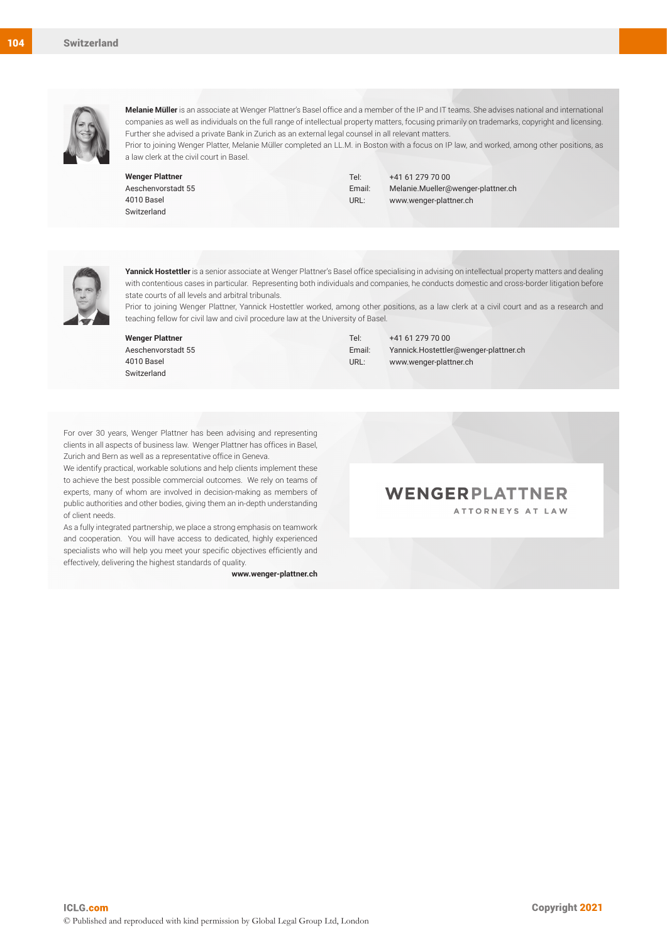

**Melanie Müller** is an associate at Wenger Plattner's Basel office and a member of the IP and IT teams. She advises national and international companies as well as individuals on the full range of intellectual property matters, focusing primarily on trademarks, copyright and licensing. Further she advised a private Bank in Zurich as an external legal counsel in all relevant matters.

Prior to joining Wenger Platter, Melanie Müller completed an LL.M. in Boston with a focus on IP law, and worked, among other positions, as a law clerk at the civil court in Basel.

**Wenger Plattner** Aeschenvorstadt 55 4010 Basel Switzerland

Tel: +41 61 279 70 00 Email: Melanie.Mueller@wenger-plattner.ch URL: www.wenger-plattner.ch



**Yannick Hostettler** is a senior associate at Wenger Plattner's Basel office specialising in advising on intellectual property matters and dealing with contentious cases in particular. Representing both individuals and companies, he conducts domestic and cross-border litigation before state courts of all levels and arbitral tribunals.

Prior to joining Wenger Plattner, Yannick Hostettler worked, among other positions, as a law clerk at a civil court and as a research and teaching fellow for civil law and civil procedure law at the University of Basel.

**Wenger Plattner** Aeschenvorstadt 55 4010 Basel Switzerland

Tel: +41 61 279 70 00 Email: Yannick.Hostettler@wenger-plattner.ch URL: www.wenger-plattner.ch

For over 30 years, Wenger Plattner has been advising and representing clients in all aspects of business law. Wenger Plattner has offices in Basel, Zurich and Bern as well as a representative office in Geneva.

We identify practical, workable solutions and help clients implement these to achieve the best possible commercial outcomes. We rely on teams of experts, many of whom are involved in decision-making as members of public authorities and other bodies, giving them an in-depth understanding of client needs.

As a fully integrated partnership, we place a strong emphasis on teamwork and cooperation. You will have access to dedicated, highly experienced specialists who will help you meet your specific objectives efficiently and effectively, delivering the highest standards of quality.

**www.wenger-plattner.ch**

#### WENGERPLATTNER ATTORNEYS AT LAW